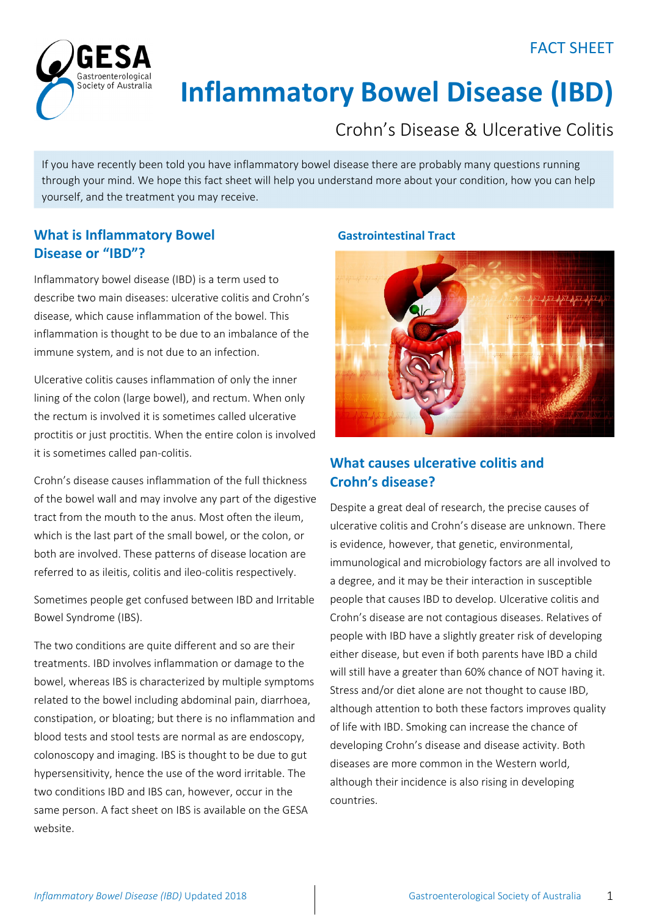## FACT SHEET



# **Inflammatory Bowel Disease (IBD)**

# Crohn's Disease & Ulcerative Colitis

If you have recently been told you have inflammatory bowel disease there are probably many questions running through your mind. We hope this fact sheet will help you understand more about your condition, how you can help yourself, and the treatment you may receive.

## **What is Inflammatory Bowel Disease or "IBD"?**

Inflammatory bowel disease (IBD) is a term used to describe two main diseases: ulcerative colitis and Crohn's disease, which cause inflammation of the bowel. This inflammation is thought to be due to an imbalance of the immune system, and is not due to an infection.

Ulcerative colitis causes inflammation of only the inner lining of the colon (large bowel), and rectum. When only the rectum is involved it is sometimes called ulcerative proctitis or just proctitis. When the entire colon is involved it is sometimes called pan‐colitis.

Crohn's disease causes inflammation of the full thickness of the bowel wall and may involve any part of the digestive tract from the mouth to the anus. Most often the ileum, which is the last part of the small bowel, or the colon, or both are involved. These patterns of disease location are referred to as ileitis, colitis and ileo‐colitis respectively.

Sometimes people get confused between IBD and Irritable Bowel Syndrome (IBS).

The two conditions are quite different and so are their treatments. IBD involves inflammation or damage to the bowel, whereas IBS is characterized by multiple symptoms related to the bowel including abdominal pain, diarrhoea, constipation, or bloating; but there is no inflammation and blood tests and stool tests are normal as are endoscopy, colonoscopy and imaging. IBS is thought to be due to gut hypersensitivity, hence the use of the word irritable. The two conditions IBD and IBS can, however, occur in the same person. A fact sheet on IBS is available on the GESA website.

## **Gastrointestinal Tract**



## **What causes ulcerative colitis and Crohn's disease?**

Despite a great deal of research, the precise causes of ulcerative colitis and Crohn's disease are unknown. There is evidence, however, that genetic, environmental, immunological and microbiology factors are all involved to a degree, and it may be their interaction in susceptible people that causes IBD to develop. Ulcerative colitis and Crohn's disease are not contagious diseases. Relatives of people with IBD have a slightly greater risk of developing either disease, but even if both parents have IBD a child will still have a greater than 60% chance of NOT having it. Stress and/or diet alone are not thought to cause IBD, although attention to both these factors improves quality of life with IBD. Smoking can increase the chance of developing Crohn's disease and disease activity. Both diseases are more common in the Western world, although their incidence is also rising in developing countries.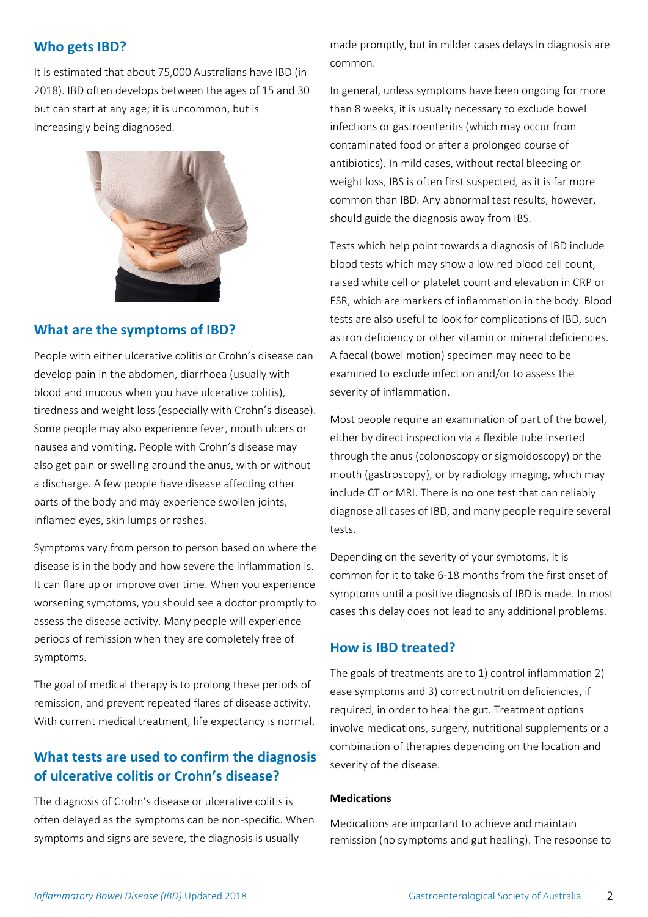## **Who gets IBD?**

It is estimated that about 75,000 Australians have IBD (in 2018). IBD often develops between the ages of 15 and 30 but can start at any age; it is uncommon, but is increasingly being diagnosed.



## **What are the symptoms of IBD?**

People with either ulcerative colitis or Crohn's disease can develop pain in the abdomen, diarrhoea (usually with blood and mucous when you have ulcerative colitis), tiredness and weight loss (especially with Crohn's disease). Some people may also experience fever, mouth ulcers or nausea and vomiting. People with Crohn's disease may also get pain or swelling around the anus, with or without a discharge. A few people have disease affecting other parts of the body and may experience swollen joints, inflamed eyes, skin lumps or rashes.

Symptoms vary from person to person based on where the disease is in the body and how severe the inflammation is. It can flare up or improve over time. When you experience worsening symptoms, you should see a doctor promptly to assess the disease activity. Many people will experience periods of remission when they are completely free of symptoms.

The goal of medical therapy is to prolong these periods of remission, and prevent repeated flares of disease activity. With current medical treatment, life expectancy is normal.

## **What tests are used to confirm the diagnosis of ulcerative colitis or Crohn's disease?**

The diagnosis of Crohn's disease or ulcerative colitis is often delayed as the symptoms can be non‐specific. When symptoms and signs are severe, the diagnosis is usually

made promptly, but in milder cases delays in diagnosis are common.

In general, unless symptoms have been ongoing for more than 8 weeks, it is usually necessary to exclude bowel infections or gastroenteritis (which may occur from contaminated food or after a prolonged course of antibiotics). In mild cases, without rectal bleeding or weight loss, IBS is often first suspected, as it is far more common than IBD. Any abnormal test results, however, should guide the diagnosis away from IBS.

Tests which help point towards a diagnosis of IBD include blood tests which may show a low red blood cell count, raised white cell or platelet count and elevation in CRP or ESR, which are markers of inflammation in the body. Blood tests are also useful to look for complications of IBD, such as iron deficiency or other vitamin or mineral deficiencies. A faecal (bowel motion) specimen may need to be examined to exclude infection and/or to assess the severity of inflammation.

Most people require an examination of part of the bowel, either by direct inspection via a flexible tube inserted through the anus (colonoscopy or sigmoidoscopy) or the mouth (gastroscopy), or by radiology imaging, which may include CT or MRI. There is no one test that can reliably diagnose all cases of IBD, and many people require several tests.

Depending on the severity of your symptoms, it is common for it to take 6‐18 months from the first onset of symptoms until a positive diagnosis of IBD is made. In most cases this delay does not lead to any additional problems.

## **How is IBD treated?**

The goals of treatments are to 1) control inflammation 2) ease symptoms and 3) correct nutrition deficiencies, if required, in order to heal the gut. Treatment options involve medications, surgery, nutritional supplements or a combination of therapies depending on the location and severity of the disease.

#### **Medications**

Medications are important to achieve and maintain remission (no symptoms and gut healing). The response to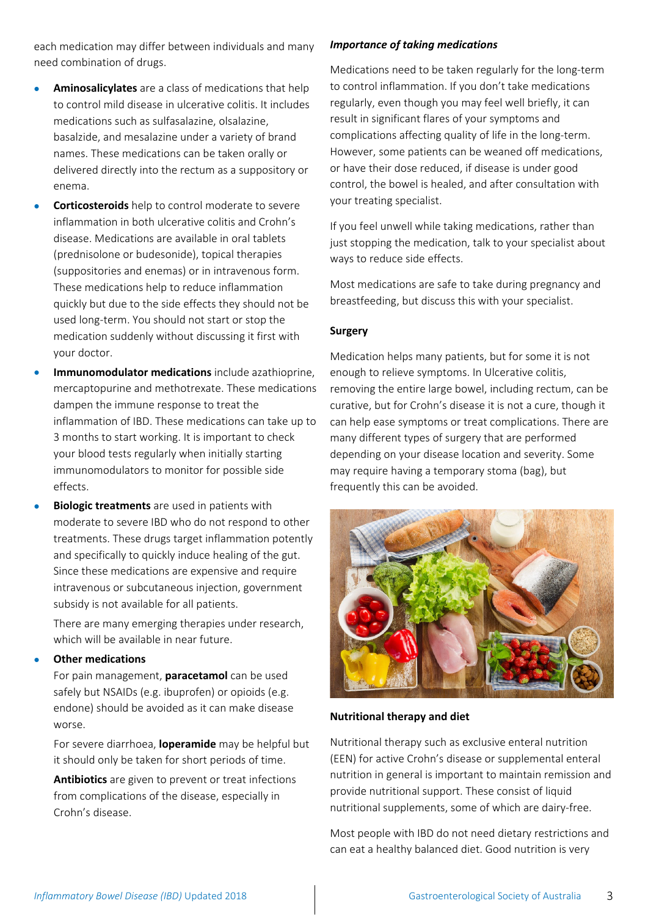each medication may differ between individuals and many need combination of drugs.

- **Aminosalicylates** are a class of medications that help to control mild disease in ulcerative colitis. It includes medications such as sulfasalazine, olsalazine, basalzide, and mesalazine under a variety of brand names. These medications can be taken orally or delivered directly into the rectum as a suppository or enema.
- **Corticosteroids** help to control moderate to severe inflammation in both ulcerative colitis and Crohn's disease. Medications are available in oral tablets (prednisolone or budesonide), topical therapies (suppositories and enemas) or in intravenous form. These medications help to reduce inflammation quickly but due to the side effects they should not be used long‐term. You should not start or stop the medication suddenly without discussing it first with your doctor.
- **Immunomodulator medications** include azathioprine, mercaptopurine and methotrexate. These medications dampen the immune response to treat the inflammation of IBD. These medications can take up to 3 months to start working. It is important to check your blood tests regularly when initially starting immunomodulators to monitor for possible side effects.
- **Biologic treatments** are used in patients with moderate to severe IBD who do not respond to other treatments. These drugs target inflammation potently and specifically to quickly induce healing of the gut. Since these medications are expensive and require intravenous or subcutaneous injection, government subsidy is not available for all patients.

There are many emerging therapies under research, which will be available in near future.

## **Other medications**

For pain management, **paracetamol** can be used safely but NSAIDs (e.g. ibuprofen) or opioids (e.g. endone) should be avoided as it can make disease worse.

For severe diarrhoea, **loperamide** may be helpful but it should only be taken for short periods of time.

**Antibiotics** are given to prevent or treat infections from complications of the disease, especially in Crohn's disease.

## *Importance of taking medications*

Medications need to be taken regularly for the long‐term to control inflammation. If you don't take medications regularly, even though you may feel well briefly, it can result in significant flares of your symptoms and complications affecting quality of life in the long‐term. However, some patients can be weaned off medications, or have their dose reduced, if disease is under good control, the bowel is healed, and after consultation with your treating specialist.

If you feel unwell while taking medications, rather than just stopping the medication, talk to your specialist about ways to reduce side effects.

Most medications are safe to take during pregnancy and breastfeeding, but discuss this with your specialist.

## **Surgery**

Medication helps many patients, but for some it is not enough to relieve symptoms. In Ulcerative colitis, removing the entire large bowel, including rectum, can be curative, but for Crohn's disease it is not a cure, though it can help ease symptoms or treat complications. There are many different types of surgery that are performed depending on your disease location and severity. Some may require having a temporary stoma (bag), but frequently this can be avoided.



## **Nutritional therapy and diet**

Nutritional therapy such as exclusive enteral nutrition (EEN) for active Crohn's disease or supplemental enteral nutrition in general is important to maintain remission and provide nutritional support. These consist of liquid nutritional supplements, some of which are dairy‐free.

Most people with IBD do not need dietary restrictions and can eat a healthy balanced diet. Good nutrition is very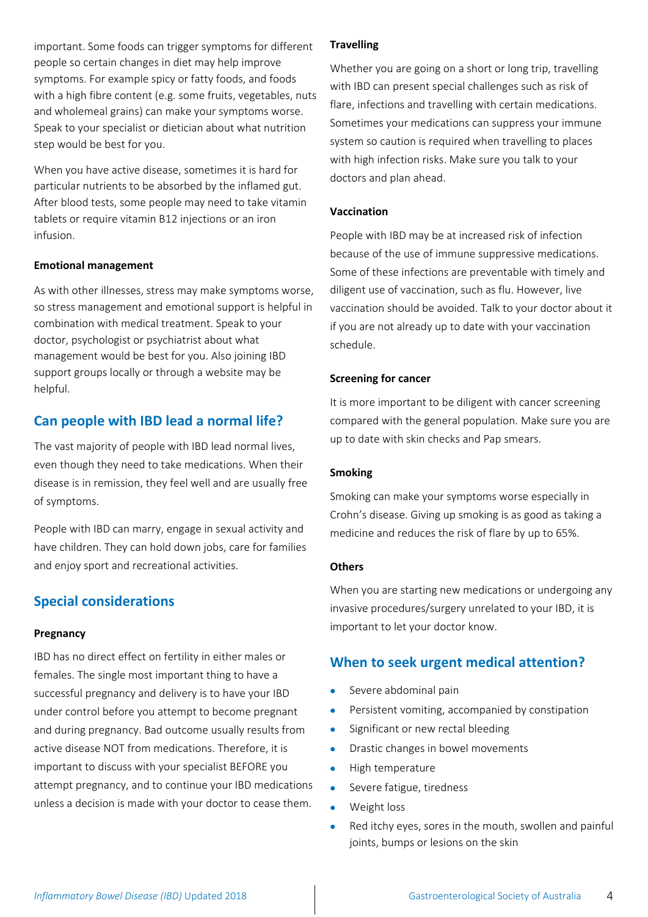important. Some foods can trigger symptoms for different people so certain changes in diet may help improve symptoms. For example spicy or fatty foods, and foods with a high fibre content (e.g. some fruits, vegetables, nuts and wholemeal grains) can make your symptoms worse. Speak to your specialist or dietician about what nutrition step would be best for you.

When you have active disease, sometimes it is hard for particular nutrients to be absorbed by the inflamed gut. After blood tests, some people may need to take vitamin tablets or require vitamin B12 injections or an iron infusion.

## **Emotional management**

As with other illnesses, stress may make symptoms worse, so stress management and emotional support is helpful in combination with medical treatment. Speak to your doctor, psychologist or psychiatrist about what management would be best for you. Also joining IBD support groups locally or through a website may be helpful.

## **Can people with IBD lead a normal life?**

The vast majority of people with IBD lead normal lives, even though they need to take medications. When their disease is in remission, they feel well and are usually free of symptoms.

People with IBD can marry, engage in sexual activity and have children. They can hold down jobs, care for families and enjoy sport and recreational activities.

## **Special considerations**

## **Pregnancy**

IBD has no direct effect on fertility in either males or females. The single most important thing to have a successful pregnancy and delivery is to have your IBD under control before you attempt to become pregnant and during pregnancy. Bad outcome usually results from active disease NOT from medications. Therefore, it is important to discuss with your specialist BEFORE you attempt pregnancy, and to continue your IBD medications unless a decision is made with your doctor to cease them.

## **Travelling**

Whether you are going on a short or long trip, travelling with IBD can present special challenges such as risk of flare, infections and travelling with certain medications. Sometimes your medications can suppress your immune system so caution is required when travelling to places with high infection risks. Make sure you talk to your doctors and plan ahead.

## **Vaccination**

People with IBD may be at increased risk of infection because of the use of immune suppressive medications. Some of these infections are preventable with timely and diligent use of vaccination, such as flu. However, live vaccination should be avoided. Talk to your doctor about it if you are not already up to date with your vaccination schedule.

## **Screening for cancer**

It is more important to be diligent with cancer screening compared with the general population. Make sure you are up to date with skin checks and Pap smears.

## **Smoking**

Smoking can make your symptoms worse especially in Crohn's disease. Giving up smoking is as good as taking a medicine and reduces the risk of flare by up to 65%.

## **Others**

When you are starting new medications or undergoing any invasive procedures/surgery unrelated to your IBD, it is important to let your doctor know.

## **When to seek urgent medical attention?**

- Severe abdominal pain
- **•** Persistent vomiting, accompanied by constipation
- Significant or new rectal bleeding
- Drastic changes in bowel movements
- High temperature
- Severe fatigue, tiredness
- Weight loss
- Red itchy eyes, sores in the mouth, swollen and painful joints, bumps or lesions on the skin